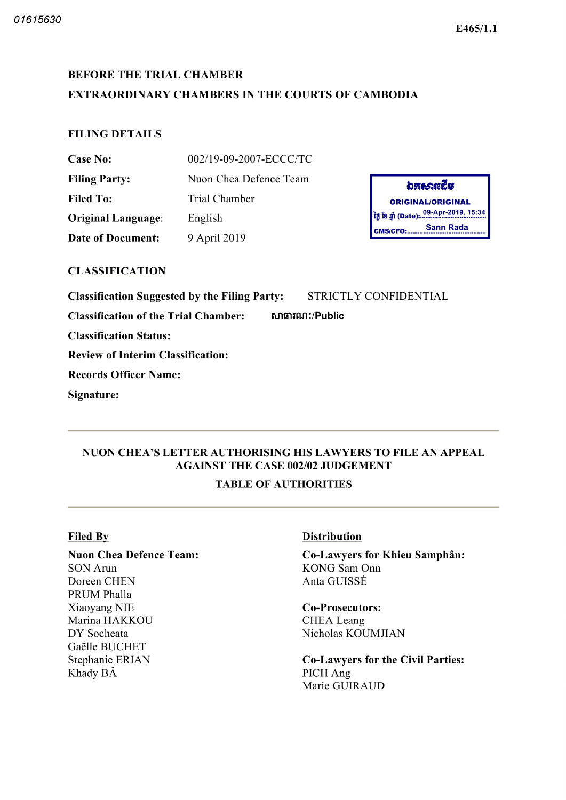# BEFORE THE TRIAL CHAMBER EXTRAORDINARY CHAMBERS IN THE COURTS OF CAMBODIA

## FILING DETAILS

| <b>Case No:</b>           | 002/19-09-2007-ECCC/TC |
|---------------------------|------------------------|
| <b>Filing Party:</b>      | Nuon Chea Defence Team |
| Filed To:                 | Trial Chamber          |
| <b>Original Language:</b> | English                |
| <b>Date of Document:</b>  | 9 April 2019           |

### CLASSIFICATION

Classification Suggested by the Filing Party: STRICTLY CONFIDENTIAL

Classification of the Trial Chamber: **6. 6 ณาสามา:/Public** 

Classification Status

Review of Interim Classification

Records Officer Name

Signature

CMS/CFO:......

ORIGINAL/ORIGINAL ថ្ងៃ ខែ ឆ្នាំ (Date): 09-Apr-2019, 15:34

อสธาหะีช

Sann Rada

# NUON CHEA'S LETTER AUTHORISING HIS LAWYERS TO FILE AN APPEAL AGAINST THE CASE 002/02 JUDGEMENT

# TABLE OF AUTHORITIES

#### Filed By

Nuon Chea Defence Team SON Arun Doreen CHEN PRUM Phalla Xiaoyang NIE Marina HAKKOU DY Socheata Gaëlle BUCHET Stephanie ERIAN Khady BÂ

# Distribution

Co Lawyers for Khieu Samphân KONG Sam Onn Anta GUISSÉ

#### Co-Prosecutors: CHEA Leang Nicholas KOUMJIAN

Co-Lawyers for the Civil Parties: PICH Ang Marie GUIRAUD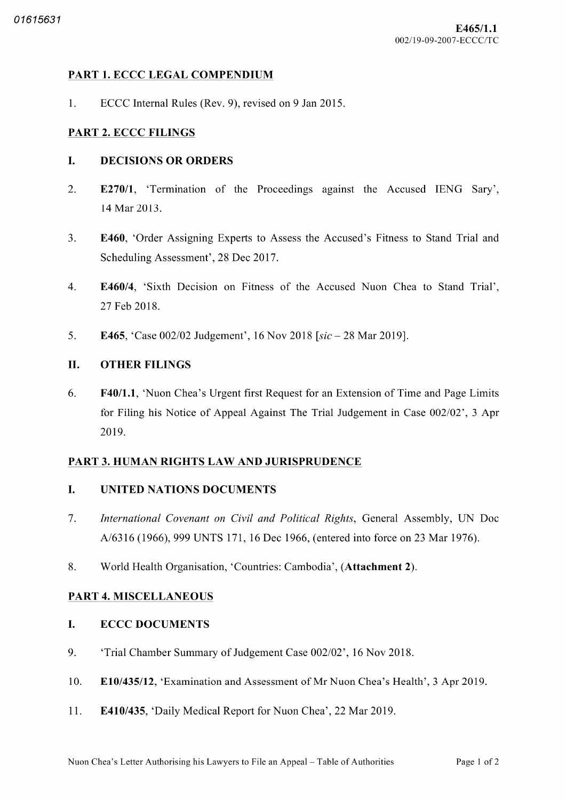## PART 1. ECCC LEGAL COMPENDIUM

 $1.$ ECCC Internal Rules (Rev. 9), revised on 9 Jan 2015.

### PART 2. ECCC FILINGS

#### L. DECISIONS OR ORDERS

- $\overline{2}$ . E270/1, 'Termination of the Proceedings against the Accused IENG Sary', 14 Mar 2013
- 3. E460, 'Order Assigning Experts to Assess the Accused's Fitness to Stand Trial and Scheduling Assessment', 28 Dec 2017.
- $\overline{4}$ . E460/4. 'Sixth Decision on Fitness of the Accused Nuon Chea to Stand Trial', 27 Feb 2018
- 5. E465, 'Case 002/02 Judgement', 16 Nov 2018 [ $sic - 28$  Mar 2019].

### II. OTHER FILINGS

6. F40/1.1, 'Nuon Chea's Urgent first Request for an Extension of Time and Page Limits for Filing his Notice of Appeal Against The Trial Judgement in Case 002/02', 3 Apr 2019

#### PART 3. HUMAN RIGHTS LAW AND JURISPRUDENCE

#### I. UNITED NATIONS DOCUMENTS

- 7. International Covenant on Civil and Political Rights, General Assembly, UN Doc A/6316 (1966), 999 UNTS 171, 16 Dec 1966, (entered into force on 23 Mar 1976).
- 8. World Health Organisation, 'Countries: Cambodia', (Attachment 2).

#### PART 4. MISCELLANEOUS

#### L. ECCC DOCUMENTS

- 9. 'Trial Chamber Summary of Judgement Case 002/02', 16 Nov 2018.
- 10. E10/435/12, 'Examination and Assessment of Mr Nuon Chea's Health', 3 Apr 2019.
- 11. E410/435, 'Daily Medical Report for Nuon Chea', 22 Mar 2019.